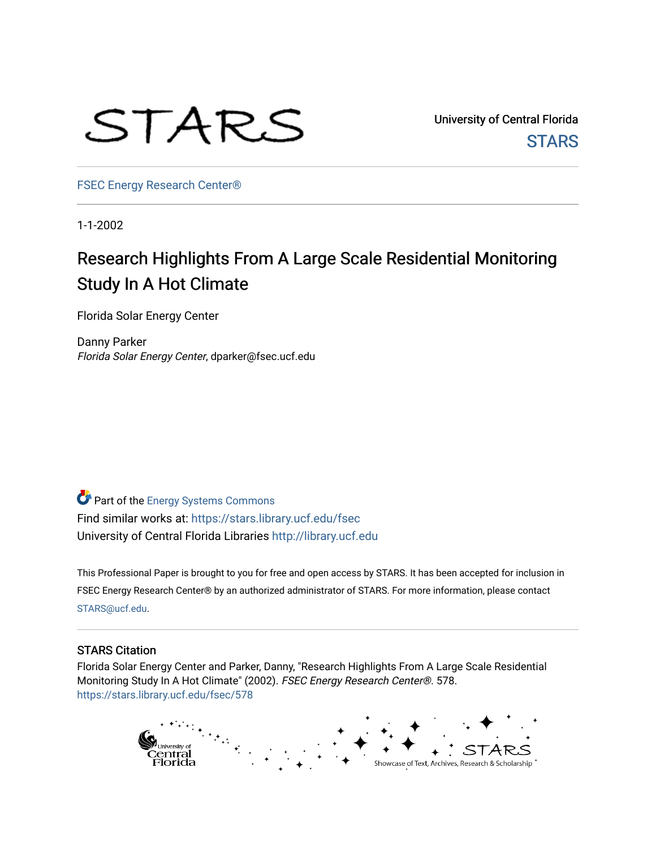

University of Central Florida **STARS** 

[FSEC Energy Research Center®](https://stars.library.ucf.edu/fsec) 

1-1-2002

# Research Highlights From A Large Scale Residential Monitoring Study In A Hot Climate

Florida Solar Energy Center

Danny Parker Florida Solar Energy Center, dparker@fsec.ucf.edu

Part of the [Energy Systems Commons](http://network.bepress.com/hgg/discipline/299?utm_source=stars.library.ucf.edu%2Ffsec%2F578&utm_medium=PDF&utm_campaign=PDFCoverPages)  Find similar works at: <https://stars.library.ucf.edu/fsec> University of Central Florida Libraries [http://library.ucf.edu](http://library.ucf.edu/) 

This Professional Paper is brought to you for free and open access by STARS. It has been accepted for inclusion in FSEC Energy Research Center® by an authorized administrator of STARS. For more information, please contact [STARS@ucf.edu](mailto:STARS@ucf.edu).

# STARS Citation

Florida Solar Energy Center and Parker, Danny, "Research Highlights From A Large Scale Residential Monitoring Study In A Hot Climate" (2002). FSEC Energy Research Center®. 578. [https://stars.library.ucf.edu/fsec/578](https://stars.library.ucf.edu/fsec/578?utm_source=stars.library.ucf.edu%2Ffsec%2F578&utm_medium=PDF&utm_campaign=PDFCoverPages)

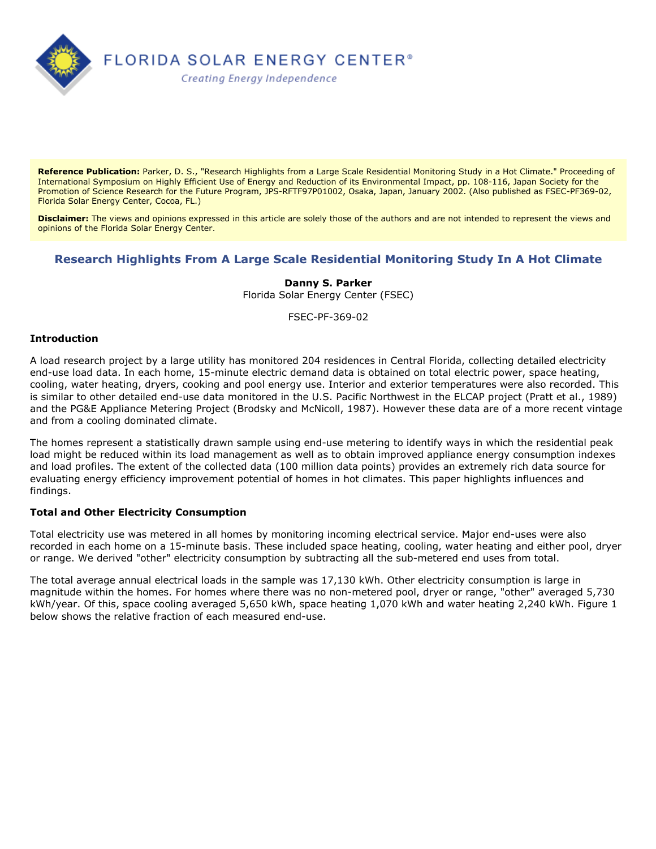

**Reference Publication:** Parker, D. S., "Research Highlights from a Large Scale Residential Monitoring Study in a Hot Climate." Proceeding of International Symposium on Highly Efficient Use of Energy and Reduction of its Environmental Impact, pp. 108-116, Japan Society for the Promotion of Science Research for the Future Program, JPS-RFTF97P01002, Osaka, Japan, January 2002. (Also published as FSEC-PF369-02, Florida Solar Energy Center, Cocoa, FL.)

**Disclaimer:** The views and opinions expressed in this article are solely those of the authors and are not intended to represent the views and opinions of the Florida Solar Energy Center.

# **Research Highlights From A Large Scale Residential Monitoring Study In A Hot Climate**

# **Danny S. Parker**

Florida Solar Energy Center (FSEC)

FSEC-PF-369-02

#### **Introduction**

A load research project by a large utility has monitored 204 residences in Central Florida, collecting detailed electricity end-use load data. In each home, 15-minute electric demand data is obtained on total electric power, space heating, cooling, water heating, dryers, cooking and pool energy use. Interior and exterior temperatures were also recorded. This is similar to other detailed end-use data monitored in the U.S. Pacific Northwest in the ELCAP project (Pratt et al., 1989) and the PG&E Appliance Metering Project (Brodsky and McNicoll, 1987). However these data are of a more recent vintage and from a cooling dominated climate.

The homes represent a statistically drawn sample using end-use metering to identify ways in which the residential peak load might be reduced within its load management as well as to obtain improved appliance energy consumption indexes and load profiles. The extent of the collected data (100 million data points) provides an extremely rich data source for evaluating energy efficiency improvement potential of homes in hot climates. This paper highlights influences and findings.

# **Total and Other Electricity Consumption**

Total electricity use was metered in all homes by monitoring incoming electrical service. Major end-uses were also recorded in each home on a 15-minute basis. These included space heating, cooling, water heating and either pool, dryer or range. We derived "other" electricity consumption by subtracting all the sub-metered end uses from total.

The total average annual electrical loads in the sample was 17,130 kWh. Other electricity consumption is large in magnitude within the homes. For homes where there was no non-metered pool, dryer or range, "other" averaged 5,730 kWh/year. Of this, space cooling averaged 5,650 kWh, space heating 1,070 kWh and water heating 2,240 kWh. Figure 1 below shows the relative fraction of each measured end-use.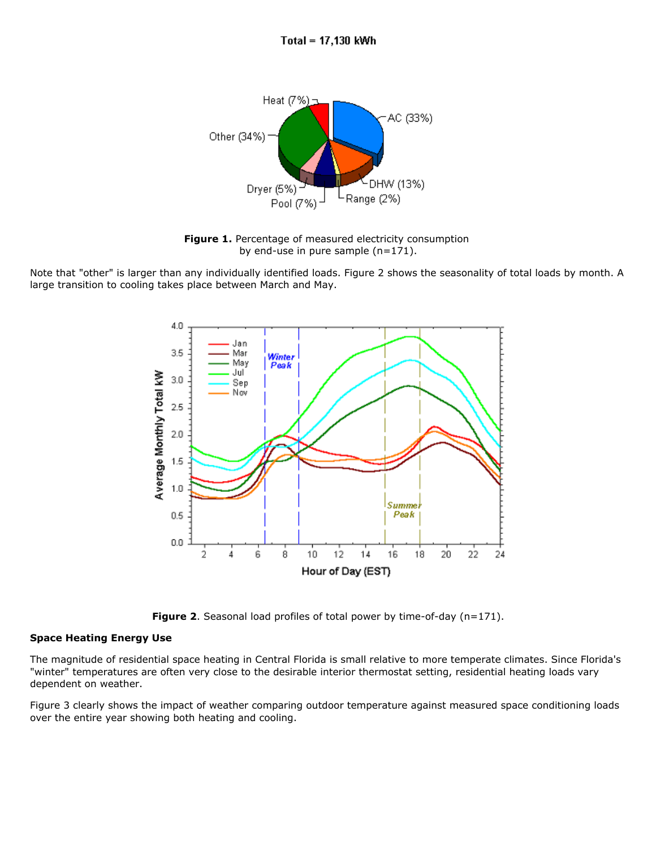

Figure 1. Percentage of measured electricity consumption by end-use in pure sample  $(n=171)$ .

Note that "other" is larger than any individually identified loads. Figure 2 shows the seasonality of total loads by month. A large transition to cooling takes place between March and May.



**Figure 2.** Seasonal load profiles of total power by time-of-day  $(n=171)$ .

# **Space Heating Energy Use**

The magnitude of residential space heating in Central Florida is small relative to more temperate climates. Since Florida's "winter" temperatures are often very close to the desirable interior thermostat setting, residential heating loads vary dependent on weather.

Figure 3 clearly shows the impact of weather comparing outdoor temperature against measured space conditioning loads over the entire year showing both heating and cooling.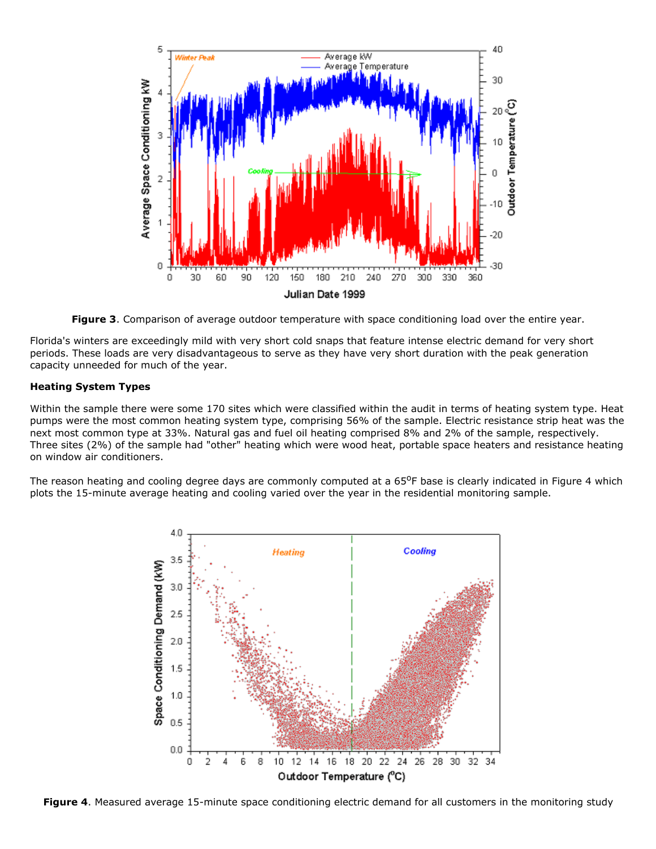

**Figure 3**. Comparison of average outdoor temperature with space conditioning load over the entire year.

Florida's winters are exceedingly mild with very short cold snaps that feature intense electric demand for very short periods. These loads are very disadvantageous to serve as they have very short duration with the peak generation capacity unneeded for much of the year.

# **Heating System Types**

Within the sample there were some 170 sites which were classified within the audit in terms of heating system type. Heat pumps were the most common heating system type, comprising 56% of the sample. Electric resistance strip heat was the next most common type at 33%. Natural gas and fuel oil heating comprised 8% and 2% of the sample, respectively. Three sites (2%) of the sample had "other" heating which were wood heat, portable space heaters and resistance heating on window air conditioners.

The reason heating and cooling degree days are commonly computed at a  $65^{\circ}$ F base is clearly indicated in Figure 4 which plots the 15-minute average heating and cooling varied over the year in the residential monitoring sample.



Figure 4. Measured average 15-minute space conditioning electric demand for all customers in the monitoring study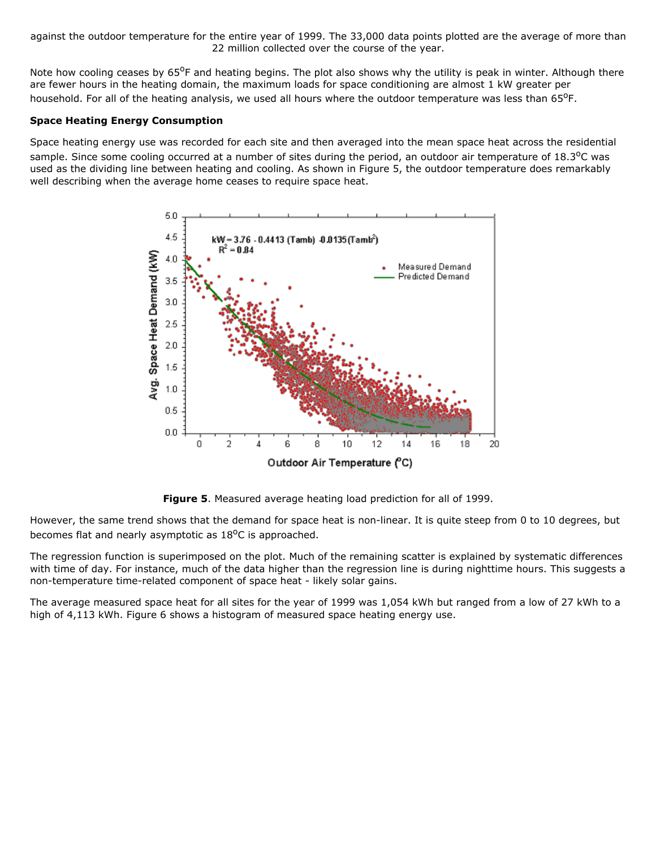against the outdoor temperature for the entire year of 1999. The 33,000 data points plotted are the average of more than 22 million collected over the course of the year.

Note how cooling ceases by  $65^{\circ}$ F and heating begins. The plot also shows why the utility is peak in winter. Although there are fewer hours in the heating domain, the maximum loads for space conditioning are almost 1 kW greater per household. For all of the heating analysis, we used all hours where the outdoor temperature was less than 65°F.

# **Space Heating Energy Consumption**

Space heating energy use was recorded for each site and then averaged into the mean space heat across the residential sample. Since some cooling occurred at a number of sites during the period, an outdoor air temperature of  $18.3^{\circ}$ C was used as the dividing line between heating and cooling. As shown in Figure 5, the outdoor temperature does remarkably well describing when the average home ceases to require space heat.



**Figure 5**. Measured average heating load prediction for all of 1999.

However, the same trend shows that the demand for space heat is non-linear. It is quite steep from 0 to 10 degrees, but becomes flat and nearly asymptotic as  $18^{\circ}$ C is approached.

The regression function is superimposed on the plot. Much of the remaining scatter is explained by systematic differences with time of day. For instance, much of the data higher than the regression line is during nighttime hours. This suggests a non-temperature time-related component of space heat - likely solar gains.

The average measured space heat for all sites for the year of 1999 was 1,054 kWh but ranged from a low of 27 kWh to a high of 4,113 kWh. Figure 6 shows a histogram of measured space heating energy use.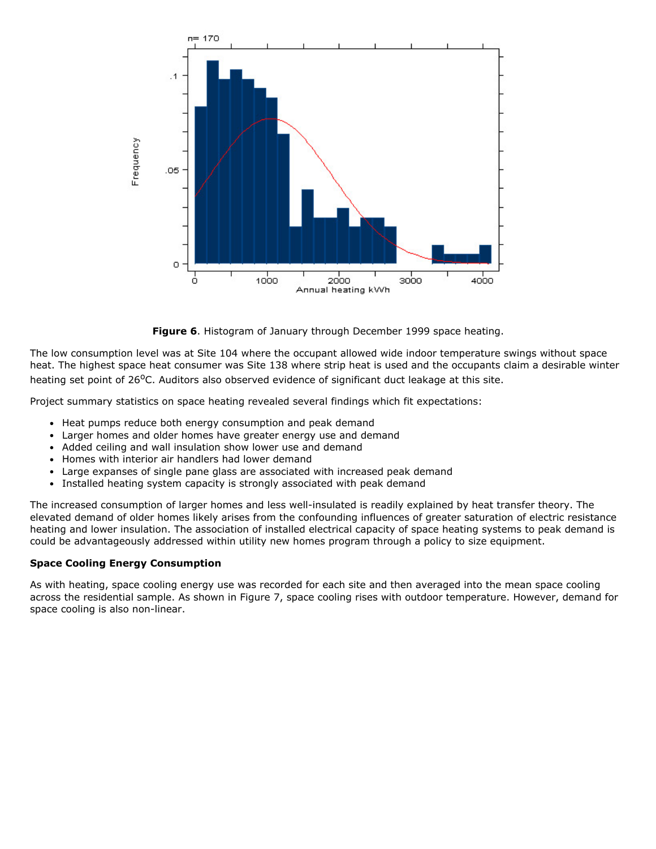

**Figure 6**. Histogram of January through December 1999 space heating.

The low consumption level was at Site 104 where the occupant allowed wide indoor temperature swings without space heat. The highest space heat consumer was Site 138 where strip heat is used and the occupants claim a desirable winter heating set point of 26<sup>o</sup>C. Auditors also observed evidence of significant duct leakage at this site.

Project summary statistics on space heating revealed several findings which fit expectations:

- Heat pumps reduce both energy consumption and peak demand
- Larger homes and older homes have greater energy use and demand
- Added ceiling and wall insulation show lower use and demand
- Homes with interior air handlers had lower demand
- Large expanses of single pane glass are associated with increased peak demand
- Installed heating system capacity is strongly associated with peak demand  $\bullet$

The increased consumption of larger homes and less well-insulated is readily explained by heat transfer theory. The elevated demand of older homes likely arises from the confounding influences of greater saturation of electric resistance heating and lower insulation. The association of installed electrical capacity of space heating systems to peak demand is could be advantageously addressed within utility new homes program through a policy to size equipment.

# **Space Cooling Energy Consumption**

As with heating, space cooling energy use was recorded for each site and then averaged into the mean space cooling across the residential sample. As shown in Figure 7, space cooling rises with outdoor temperature. However, demand for space cooling is also non-linear.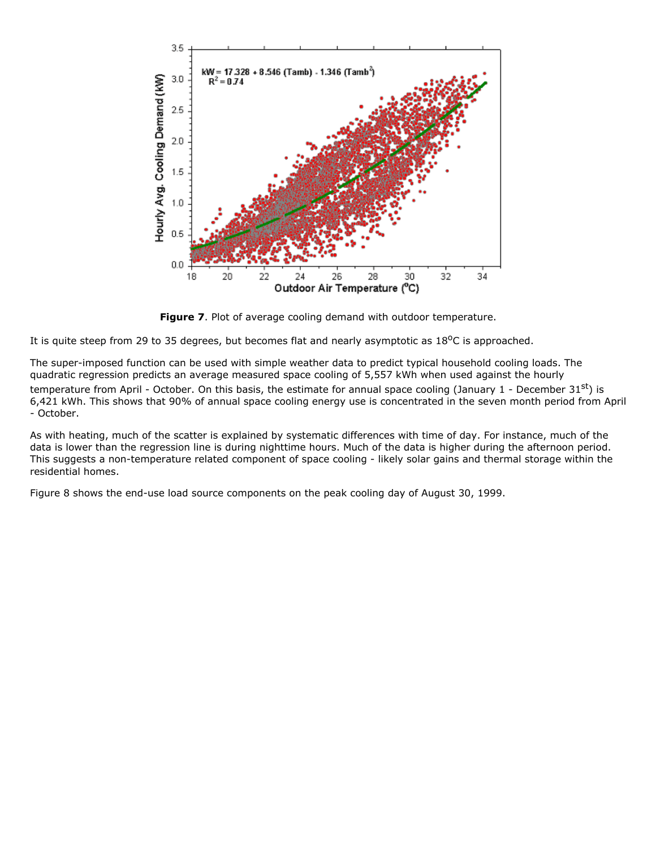

**Figure 7.** Plot of average cooling demand with outdoor temperature.

It is quite steep from 29 to 35 degrees, but becomes flat and nearly asymptotic as  $18^{\circ}$ C is approached.

The super-imposed function can be used with simple weather data to predict typical household cooling loads. The quadratic regression predicts an average measured space cooling of 5,557 kWh when used against the hourly temperature from April - October. On this basis, the estimate for annual space cooling (January 1 - December 31<sup>st</sup>) is 6,421 kWh. This shows that 90% of annual space cooling energy use is concentrated in the seven month period from April October.

As with heating, much of the scatter is explained by systematic differences with time of day. For instance, much of the data is lower than the regression line is during nighttime hours. Much of the data is higher during the afternoon period. This suggests a non-temperature related component of space cooling - likely solar gains and thermal storage within the residential homes.

Figure 8 shows the end-use load source components on the peak cooling day of August 30, 1999.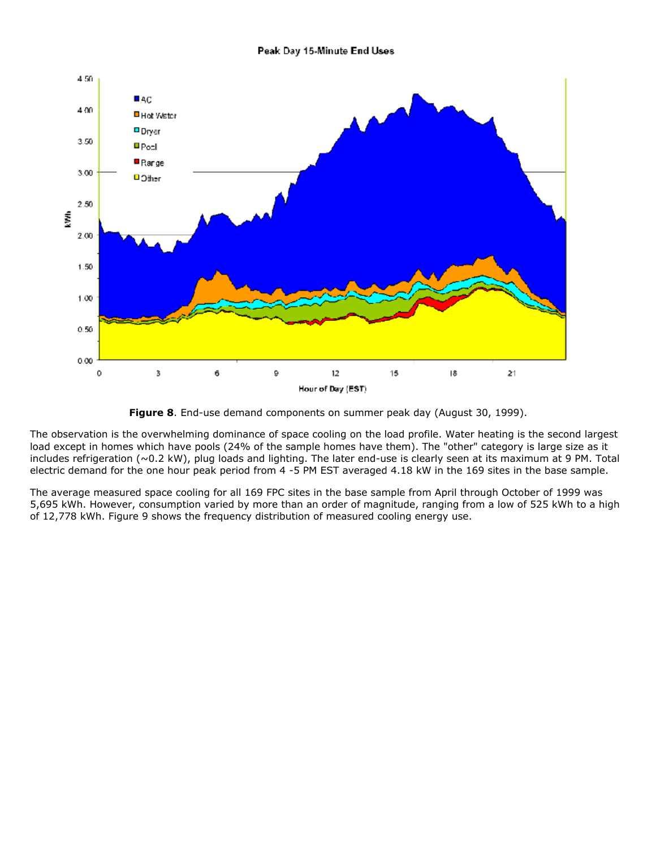#### Peak Day 15-Minute End Uses





The observation is the overwhelming dominance of space cooling on the load profile. Water heating is the second largest load except in homes which have pools (24% of the sample homes have them). The "other" category is large size as it includes refrigeration ( $\sim$ 0.2 kW), plug loads and lighting. The later end-use is clearly seen at its maximum at 9 PM. Total electric demand for the one hour peak period from 4 -5 PM EST averaged 4.18 kW in the 169 sites in the base sample.

The average measured space cooling for all 169 FPC sites in the base sample from April through October of 1999 was 5,695 kWh. However, consumption varied by more than an order of magnitude, ranging from a low of 525 kWh to a high of 12,778 kWh. Figure 9 shows the frequency distribution of measured cooling energy use.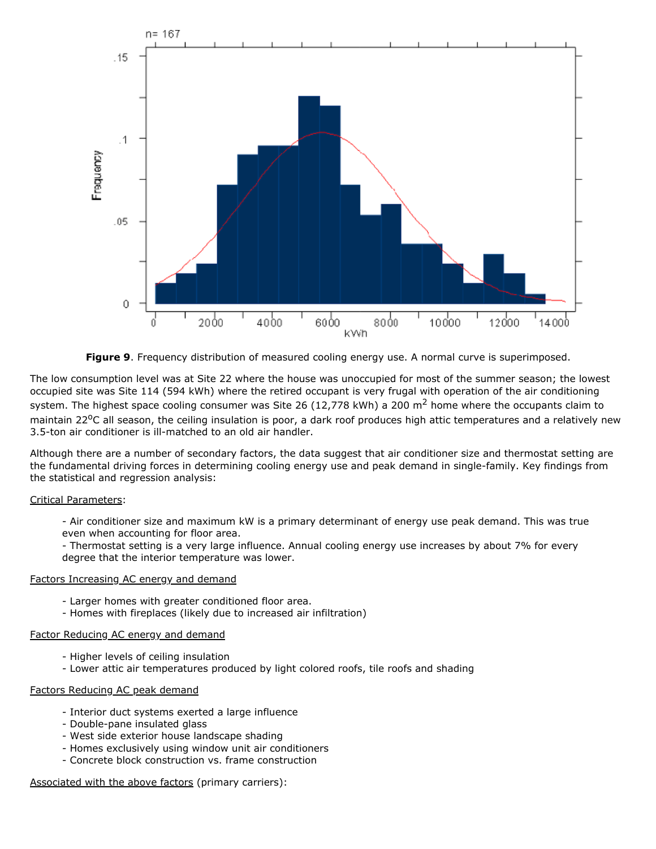

**Figure 9**. Frequency distribution of measured cooling energy use. A normal curve is superimposed.

The low consumption level was at Site 22 where the house was unoccupied for most of the summer season; the lowest occupied site was Site 114 (594 kWh) where the retired occupant is very frugal with operation of the air conditioning system. The highest space cooling consumer was Site 26 (12,778 kWh) a 200 m<sup>2</sup> home where the occupants claim to maintain 22<sup>o</sup>C all season, the ceiling insulation is poor, a dark roof produces high attic temperatures and a relatively new 3.5-ton air conditioner is ill-matched to an old air handler.

Although there are a number of secondary factors, the data suggest that air conditioner size and thermostat setting are the fundamental driving forces in determining cooling energy use and peak demand in single-family. Key findings from the statistical and regression analysis:

# Critical Parameters:

 Air conditioner size and maximum kW is a primary determinant of energy use peak demand. This was true even when accounting for floor area.

 Thermostat setting is a very large influence. Annual cooling energy use increases by about 7% for every degree that the interior temperature was lower.

#### Factors Increasing AC energy and demand

- Larger homes with greater conditioned floor area.
- Homes with fireplaces (likely due to increased air infiltration)

#### Factor Reducing AC energy and demand

- Higher levels of ceiling insulation
- Lower attic air temperatures produced by light colored roofs, tile roofs and shading

#### Factors Reducing AC peak demand

- Interior duct systems exerted a large influence
- Double-pane insulated glass
- West side exterior house landscape shading
- Homes exclusively using window unit air conditioners
- Concrete block construction vs. frame construction

# Associated with the above factors (primary carriers):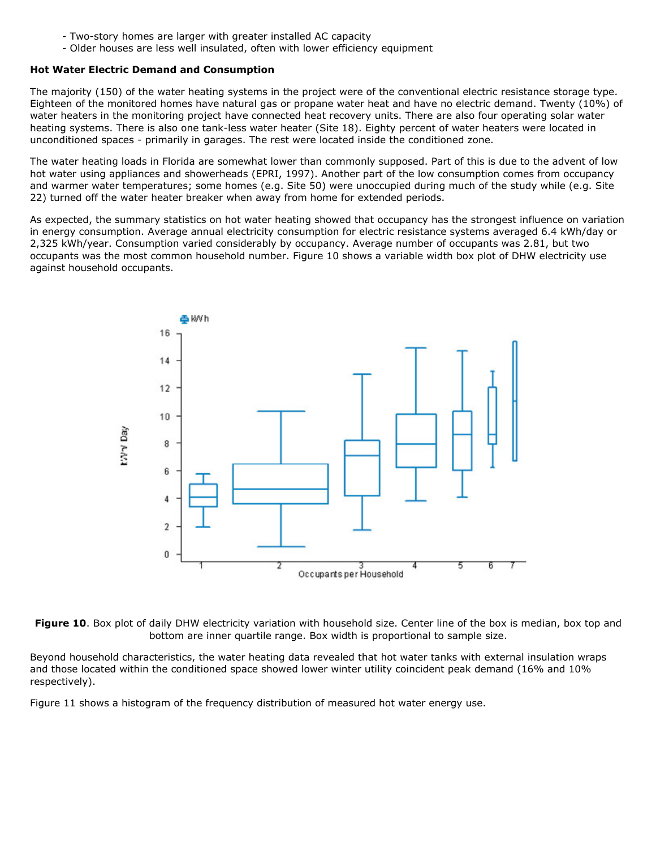- Two-story homes are larger with greater installed AC capacity
- Older houses are less well insulated, often with lower efficiency equipment

#### **Hot Water Electric Demand and Consumption**

The majority (150) of the water heating systems in the project were of the conventional electric resistance storage type. Eighteen of the monitored homes have natural gas or propane water heat and have no electric demand. Twenty (10%) of water heaters in the monitoring project have connected heat recovery units. There are also four operating solar water heating systems. There is also one tank-less water heater (Site 18). Eighty percent of water heaters were located in unconditioned spaces - primarily in garages. The rest were located inside the conditioned zone.

The water heating loads in Florida are somewhat lower than commonly supposed. Part of this is due to the advent of low hot water using appliances and showerheads (EPRI, 1997). Another part of the low consumption comes from occupancy and warmer water temperatures; some homes (e.g. Site 50) were unoccupied during much of the study while (e.g. Site 22) turned off the water heater breaker when away from home for extended periods.

As expected, the summary statistics on hot water heating showed that occupancy has the strongest influence on variation in energy consumption. Average annual electricity consumption for electric resistance systems averaged 6.4 kWh/day or 2,325 kWh/year. Consumption varied considerably by occupancy. Average number of occupants was 2.81, but two occupants was the most common household number. Figure 10 shows a variable width box plot of DHW electricity use against household occupants.



Figure 10. Box plot of daily DHW electricity variation with household size. Center line of the box is median, box top and bottom are inner quartile range. Box width is proportional to sample size.

Beyond household characteristics, the water heating data revealed that hot water tanks with external insulation wraps and those located within the conditioned space showed lower winter utility coincident peak demand (16% and 10% respectively).

Figure 11 shows a histogram of the frequency distribution of measured hot water energy use.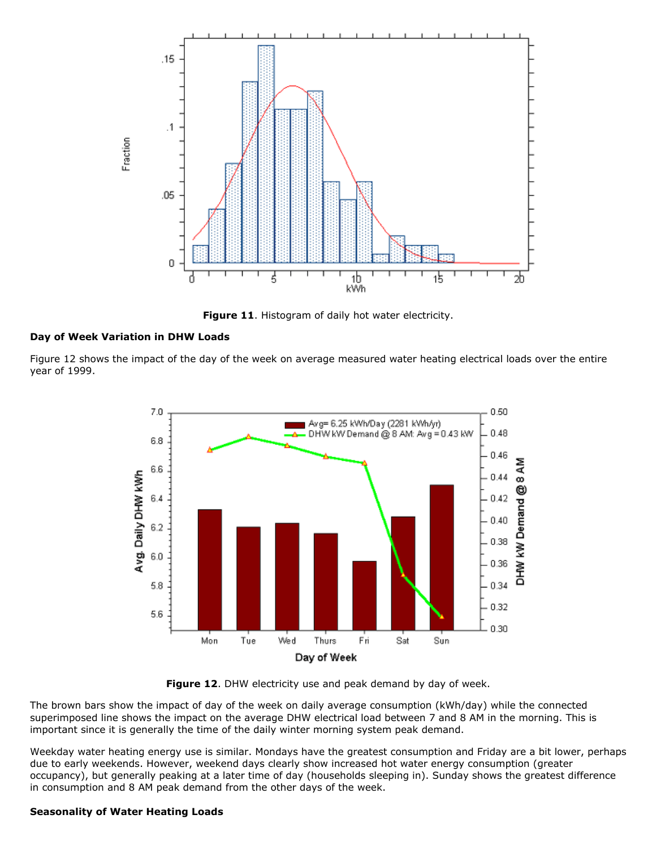

**Figure 11**. Histogram of daily hot water electricity.

#### **Day of Week Variation in DHW Loads**

Figure 12 shows the impact of the day of the week on average measured water heating electrical loads over the entire year of 1999.





The brown bars show the impact of day of the week on daily average consumption (kWh/day) while the connected superimposed line shows the impact on the average DHW electrical load between 7 and 8 AM in the morning. This is important since it is generally the time of the daily winter morning system peak demand.

Weekday water heating energy use is similar. Mondays have the greatest consumption and Friday are a bit lower, perhaps due to early weekends. However, weekend days clearly show increased hot water energy consumption (greater occupancy), but generally peaking at a later time of day (households sleeping in). Sunday shows the greatest difference in consumption and 8 AM peak demand from the other days of the week.

# **Seasonality of Water Heating Loads**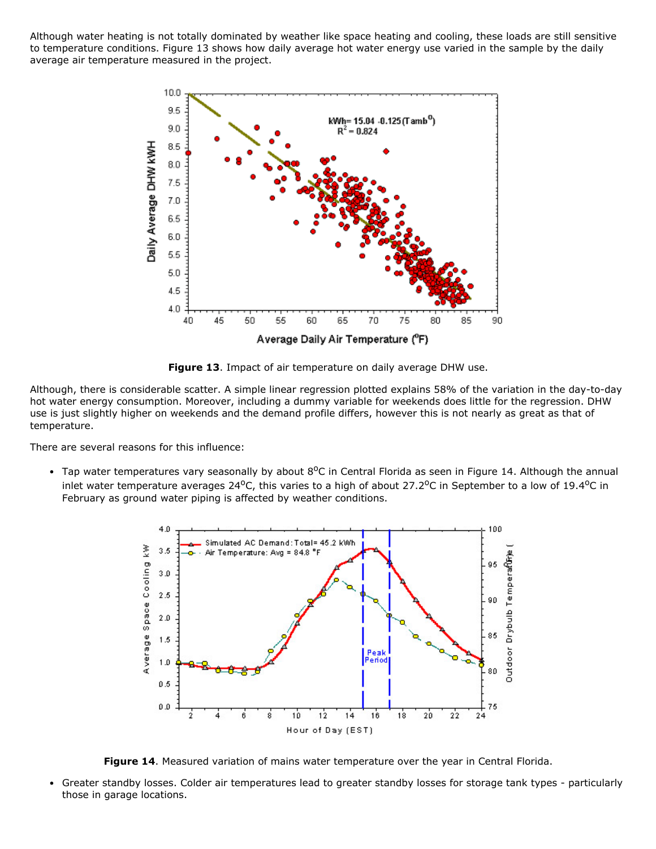Although water heating is not totally dominated by weather like space heating and cooling, these loads are still sensitive to temperature conditions. Figure 13 shows how daily average hot water energy use varied in the sample by the daily average air temperature measured in the project.



**Figure 13**. Impact of air temperature on daily average DHW use.

Although, there is considerable scatter. A simple linear regression plotted explains 58% of the variation in the day-to-day hot water energy consumption. Moreover, including a dummy variable for weekends does little for the regression. DHW use is just slightly higher on weekends and the demand profile differs, however this is not nearly as great as that of temperature.

There are several reasons for this influence:

Tap water temperatures vary seasonally by about  $8^{\circ}$ C in Central Florida as seen in Figure 14. Although the annual inlet water temperature averages 24 $^{\circ}$ C, this varies to a high of about 27.2 $^{\circ}$ C in September to a low of 19.4 $^{\circ}$ C in February as ground water piping is affected by weather conditions.



**Figure 14**. Measured variation of mains water temperature over the year in Central Florida.

Greater standby losses. Colder air temperatures lead to greater standby losses for storage tank types particularly  $\bullet$ those in garage locations.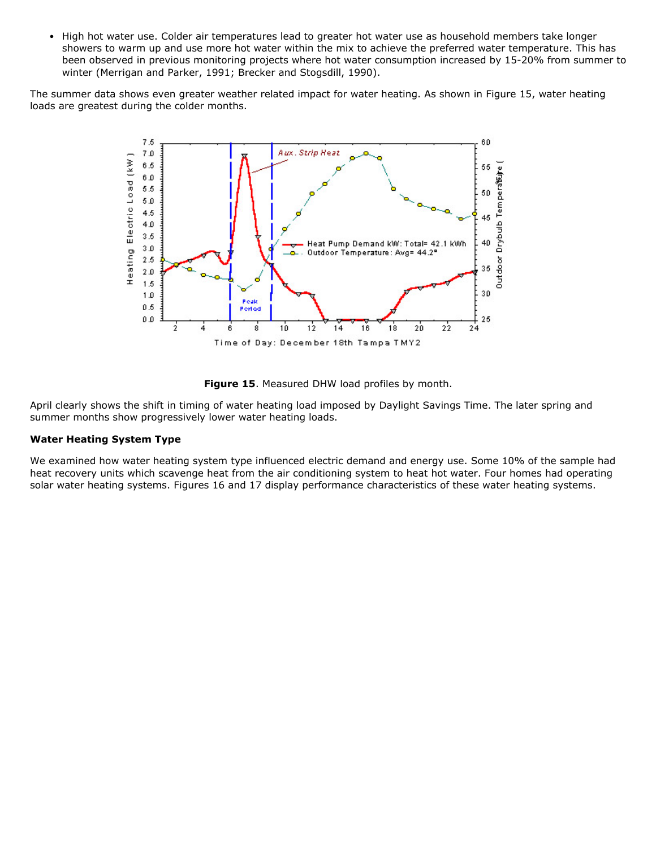$\bullet$ High hot water use. Colder air temperatures lead to greater hot water use as household members take longer showers to warm up and use more hot water within the mix to achieve the preferred water temperature. This has been observed in previous monitoring projects where hot water consumption increased by 15-20% from summer to winter (Merrigan and Parker, 1991; Brecker and Stogsdill, 1990).

The summer data shows even greater weather related impact for water heating. As shown in Figure 15, water heating loads are greatest during the colder months.



**Figure 15**. Measured DHW load profiles by month.

April clearly shows the shift in timing of water heating load imposed by Daylight Savings Time. The later spring and summer months show progressively lower water heating loads.

# **Water Heating System Type**

We examined how water heating system type influenced electric demand and energy use. Some 10% of the sample had heat recovery units which scavenge heat from the air conditioning system to heat hot water. Four homes had operating solar water heating systems. Figures 16 and 17 display performance characteristics of these water heating systems.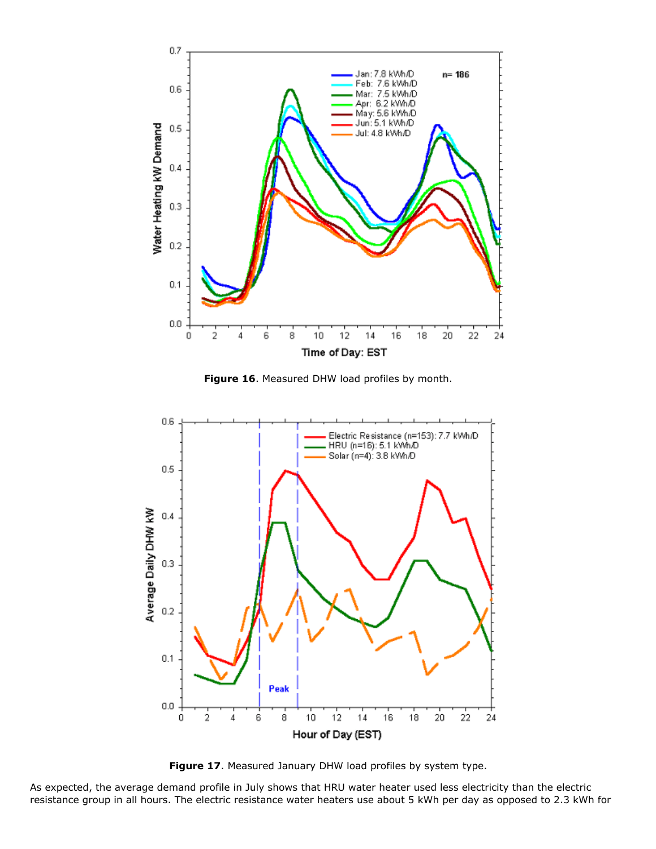

**Figure 16**. Measured DHW load profiles by month.



**Figure 17**. Measured January DHW load profiles by system type.

As expected, the average demand profile in July shows that HRU water heater used less electricity than the electric resistance group in all hours. The electric resistance water heaters use about 5 kWh per day as opposed to 2.3 kWh for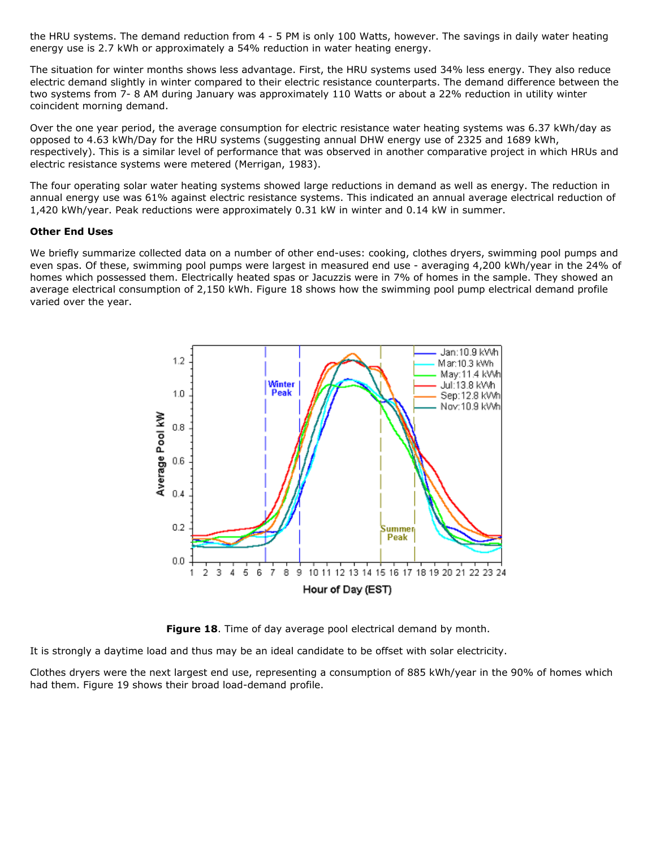the HRU systems. The demand reduction from 4 - 5 PM is only 100 Watts, however. The savings in daily water heating energy use is 2.7 kWh or approximately a 54% reduction in water heating energy.

The situation for winter months shows less advantage. First, the HRU systems used 34% less energy. They also reduce electric demand slightly in winter compared to their electric resistance counterparts. The demand difference between the two systems from 7-8 AM during January was approximately 110 Watts or about a 22% reduction in utility winter coincident morning demand.

Over the one year period, the average consumption for electric resistance water heating systems was 6.37 kWh/day as opposed to 4.63 kWh/Day for the HRU systems (suggesting annual DHW energy use of 2325 and 1689 kWh, respectively). This is a similar level of performance that was observed in another comparative project in which HRUs and electric resistance systems were metered (Merrigan, 1983).

The four operating solar water heating systems showed large reductions in demand as well as energy. The reduction in annual energy use was 61% against electric resistance systems. This indicated an annual average electrical reduction of 1,420 kWh/year. Peak reductions were approximately 0.31 kW in winter and 0.14 kW in summer.

#### **Other End Uses**

We briefly summarize collected data on a number of other end-uses: cooking, clothes dryers, swimming pool pumps and even spas. Of these, swimming pool pumps were largest in measured end use - averaging 4,200 kWh/year in the 24% of homes which possessed them. Electrically heated spas or Jacuzzis were in 7% of homes in the sample. They showed an average electrical consumption of 2,150 kWh. Figure 18 shows how the swimming pool pump electrical demand profile varied over the year.



**Figure 18**. Time of day average pool electrical demand by month.

It is strongly a daytime load and thus may be an ideal candidate to be offset with solar electricity.

Clothes dryers were the next largest end use, representing a consumption of 885 kWh/year in the 90% of homes which had them. Figure 19 shows their broad load-demand profile.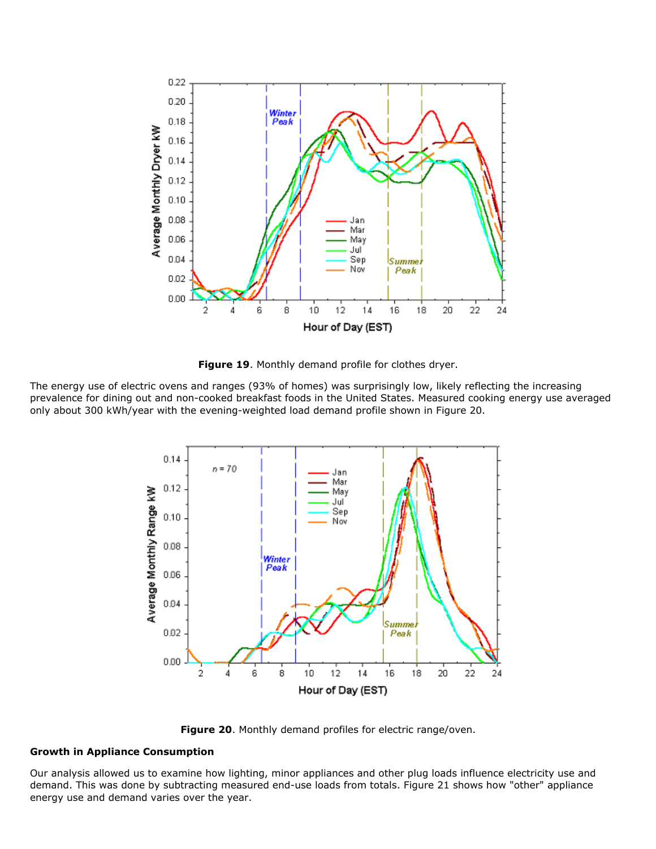

**Figure 19**. Monthly demand profile for clothes dryer.

The energy use of electric ovens and ranges (93% of homes) was surprisingly low, likely reflecting the increasing prevalence for dining out and non-cooked breakfast foods in the United States. Measured cooking energy use averaged only about 300 kWh/year with the evening-weighted load demand profile shown in Figure 20.



**Figure 20**. Monthly demand profiles for electric range/oven.

# **Growth in Appliance Consumption**

Our analysis allowed us to examine how lighting, minor appliances and other plug loads influence electricity use and demand. This was done by subtracting measured end-use loads from totals. Figure 21 shows how "other" appliance energy use and demand varies over the year.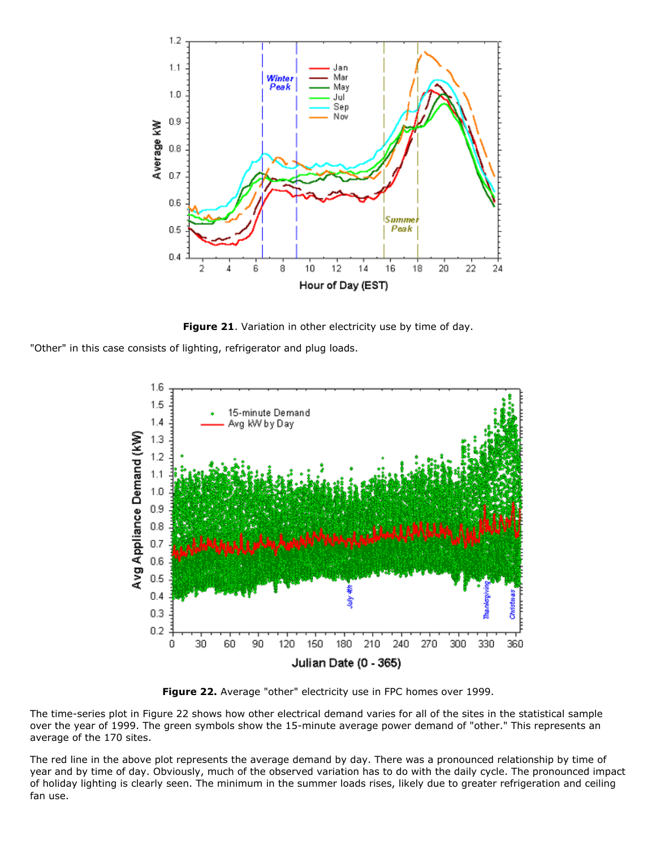

**Figure 21**. Variation in other electricity use by time of day.

"Other" in this case consists of lighting, refrigerator and plug loads.



**Figure 22.** Average "other" electricity use in FPC homes over 1999.

The time-series plot in Figure 22 shows how other electrical demand varies for all of the sites in the statistical sample over the year of 1999. The green symbols show the 15-minute average power demand of "other." This represents an average of the 170 sites.

The red line in the above plot represents the average demand by day. There was a pronounced relationship by time of year and by time of day. Obviously, much of the observed variation has to do with the daily cycle. The pronounced impact of holiday lighting is clearly seen. The minimum in the summer loads rises, likely due to greater refrigeration and ceiling fan use.